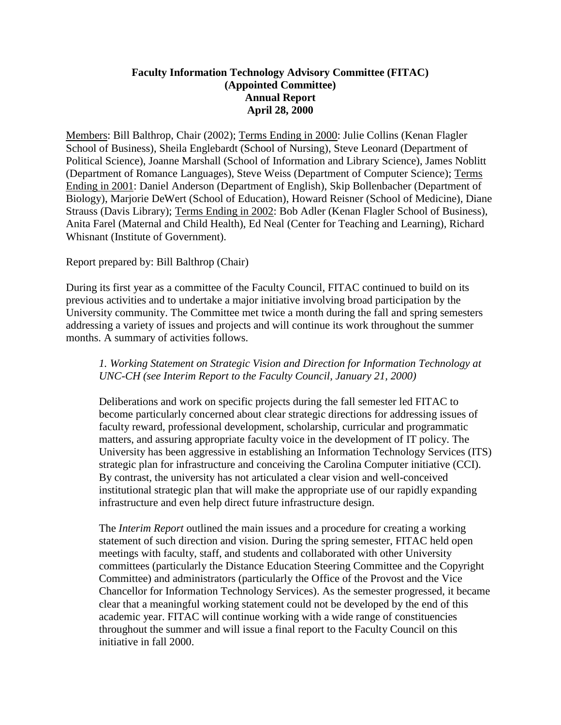# **Faculty Information Technology Advisory Committee (FITAC) (Appointed Committee) Annual Report April 28, 2000**

Members: Bill Balthrop, Chair (2002); Terms Ending in 2000: Julie Collins (Kenan Flagler School of Business), Sheila Englebardt (School of Nursing), Steve Leonard (Department of Political Science), Joanne Marshall (School of Information and Library Science), James Noblitt (Department of Romance Languages), Steve Weiss (Department of Computer Science); Terms Ending in 2001: Daniel Anderson (Department of English), Skip Bollenbacher (Department of Biology), Marjorie DeWert (School of Education), Howard Reisner (School of Medicine), Diane Strauss (Davis Library); Terms Ending in 2002: Bob Adler (Kenan Flagler School of Business), Anita Farel (Maternal and Child Health), Ed Neal (Center for Teaching and Learning), Richard Whisnant (Institute of Government).

# Report prepared by: Bill Balthrop (Chair)

During its first year as a committee of the Faculty Council, FITAC continued to build on its previous activities and to undertake a major initiative involving broad participation by the University community. The Committee met twice a month during the fall and spring semesters addressing a variety of issues and projects and will continue its work throughout the summer months. A summary of activities follows.

# *1. Working Statement on Strategic Vision and Direction for Information Technology at UNC-CH (see Interim Report to the Faculty Council, January 21, 2000)*

Deliberations and work on specific projects during the fall semester led FITAC to become particularly concerned about clear strategic directions for addressing issues of faculty reward, professional development, scholarship, curricular and programmatic matters, and assuring appropriate faculty voice in the development of IT policy. The University has been aggressive in establishing an Information Technology Services (ITS) strategic plan for infrastructure and conceiving the Carolina Computer initiative (CCI). By contrast, the university has not articulated a clear vision and well-conceived institutional strategic plan that will make the appropriate use of our rapidly expanding infrastructure and even help direct future infrastructure design.

The *Interim Report* outlined the main issues and a procedure for creating a working statement of such direction and vision. During the spring semester, FITAC held open meetings with faculty, staff, and students and collaborated with other University committees (particularly the Distance Education Steering Committee and the Copyright Committee) and administrators (particularly the Office of the Provost and the Vice Chancellor for Information Technology Services). As the semester progressed, it became clear that a meaningful working statement could not be developed by the end of this academic year. FITAC will continue working with a wide range of constituencies throughout the summer and will issue a final report to the Faculty Council on this initiative in fall 2000.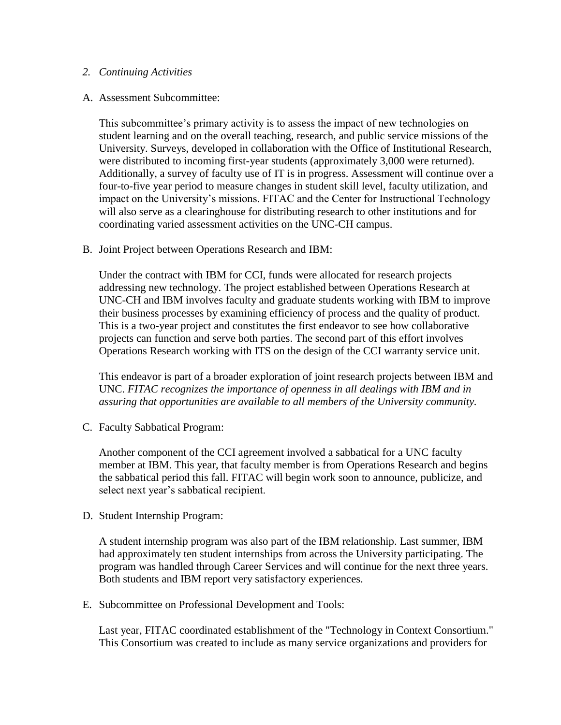### *2. Continuing Activities*

#### A. Assessment Subcommittee:

This subcommittee's primary activity is to assess the impact of new technologies on student learning and on the overall teaching, research, and public service missions of the University. Surveys, developed in collaboration with the Office of Institutional Research, were distributed to incoming first-year students (approximately 3,000 were returned). Additionally, a survey of faculty use of IT is in progress. Assessment will continue over a four-to-five year period to measure changes in student skill level, faculty utilization, and impact on the University's missions. FITAC and the Center for Instructional Technology will also serve as a clearinghouse for distributing research to other institutions and for coordinating varied assessment activities on the UNC-CH campus.

B. Joint Project between Operations Research and IBM:

Under the contract with IBM for CCI, funds were allocated for research projects addressing new technology. The project established between Operations Research at UNC-CH and IBM involves faculty and graduate students working with IBM to improve their business processes by examining efficiency of process and the quality of product. This is a two-year project and constitutes the first endeavor to see how collaborative projects can function and serve both parties. The second part of this effort involves Operations Research working with ITS on the design of the CCI warranty service unit.

This endeavor is part of a broader exploration of joint research projects between IBM and UNC. *FITAC recognizes the importance of openness in all dealings with IBM and in assuring that opportunities are available to all members of the University community.*

C. Faculty Sabbatical Program:

Another component of the CCI agreement involved a sabbatical for a UNC faculty member at IBM. This year, that faculty member is from Operations Research and begins the sabbatical period this fall. FITAC will begin work soon to announce, publicize, and select next year's sabbatical recipient.

D. Student Internship Program:

A student internship program was also part of the IBM relationship. Last summer, IBM had approximately ten student internships from across the University participating. The program was handled through Career Services and will continue for the next three years. Both students and IBM report very satisfactory experiences.

E. Subcommittee on Professional Development and Tools:

Last year, FITAC coordinated establishment of the "Technology in Context Consortium." This Consortium was created to include as many service organizations and providers for